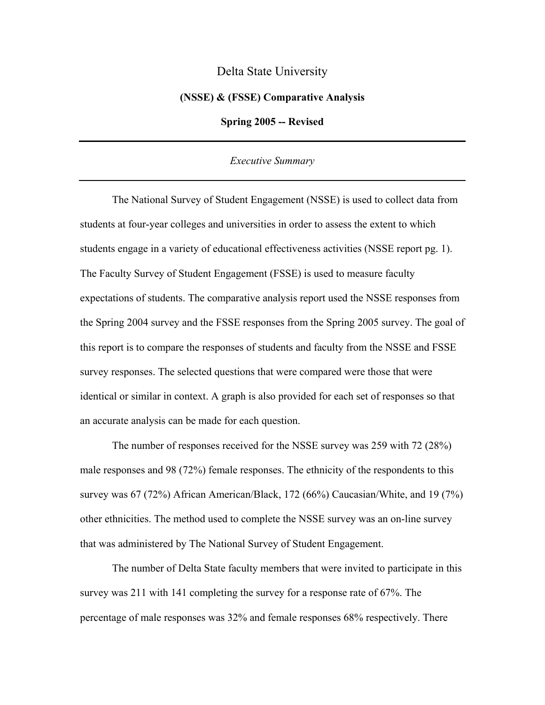## Delta State University

## **(NSSE) & (FSSE) Comparative Analysis**

**Spring 2005 -- Revised** 

## *Executive Summary*

 The National Survey of Student Engagement (NSSE) is used to collect data from students at four-year colleges and universities in order to assess the extent to which students engage in a variety of educational effectiveness activities (NSSE report pg. 1). The Faculty Survey of Student Engagement (FSSE) is used to measure faculty expectations of students. The comparative analysis report used the NSSE responses from the Spring 2004 survey and the FSSE responses from the Spring 2005 survey. The goal of this report is to compare the responses of students and faculty from the NSSE and FSSE survey responses. The selected questions that were compared were those that were identical or similar in context. A graph is also provided for each set of responses so that an accurate analysis can be made for each question.

 The number of responses received for the NSSE survey was 259 with 72 (28%) male responses and 98 (72%) female responses. The ethnicity of the respondents to this survey was 67 (72%) African American/Black, 172 (66%) Caucasian/White, and 19 (7%) other ethnicities. The method used to complete the NSSE survey was an on-line survey that was administered by The National Survey of Student Engagement.

 The number of Delta State faculty members that were invited to participate in this survey was 211 with 141 completing the survey for a response rate of 67%. The percentage of male responses was 32% and female responses 68% respectively. There